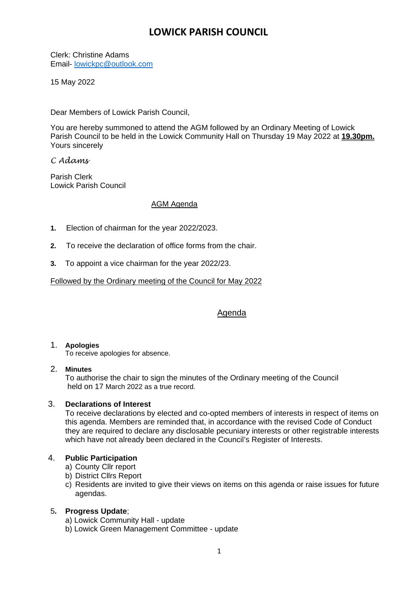# **LOWICK PARISH COUNCIL**

Clerk: Christine Adams Email- [lowickpc@outlook.com](mailto:lowickpc@outlook.com)

15 May 2022

Dear Members of Lowick Parish Council,

You are hereby summoned to attend the AGM followed by an Ordinary Meeting of Lowick Parish Council to be held in the Lowick Community Hall on Thursday 19 May 2022 at **19.30pm.** Yours sincerely

*C Adams*

Parish Clerk Lowick Parish Council

# AGM Agenda

- **1.** Election of chairman for the year 2022/2023.
- **2.** To receive the declaration of office forms from the chair.
- **3.** To appoint a vice chairman for the year 2022/23.

Followed by the Ordinary meeting of the Council for May 2022

# Agenda

# 1. **Apologies**

To receive apologies for absence.

#### 2. **Minutes**

To authorise the chair to sign the minutes of the Ordinary meeting of the Council held on 17 March 2022 as a true record.

# 3. **Declarations of Interest**

To receive declarations by elected and co-opted members of interests in respect of items on this agenda. Members are reminded that, in accordance with the revised Code of Conduct they are required to declare any disclosable pecuniary interests or other registrable interests which have not already been declared in the Council's Register of Interests.

# 4. **Public Participation**

- a) County Cllr report
- b) District Cllrs Report
- c) Residents are invited to give their views on items on this agenda or raise issues for future agendas.

# 5**. Progress Update**;

- a) Lowick Community Hall update
- b) Lowick Green Management Committee update